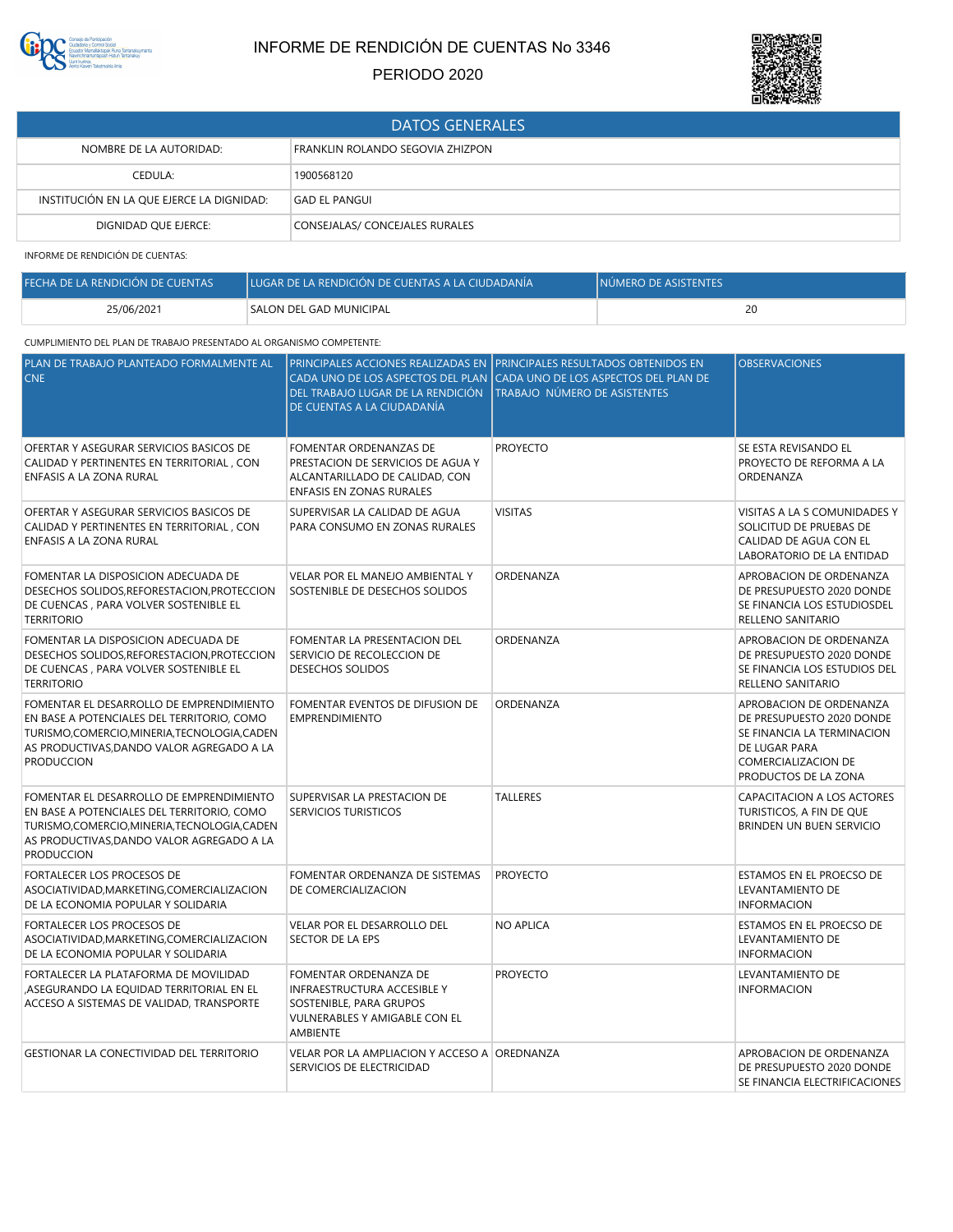

# INFORME DE RENDICIÓN DE CUENTAS No 3346

## PERIODO 2020



| <b>DATOS GENERALES</b>                    |                                  |  |
|-------------------------------------------|----------------------------------|--|
| NOMBRE DE LA AUTORIDAD:                   | FRANKLIN ROLANDO SEGOVIA ZHIZPON |  |
| CEDULA:                                   | 1900568120                       |  |
| INSTITUCIÓN EN LA QUE EJERCE LA DIGNIDAD: | GAD EL PANGUI                    |  |
| DIGNIDAD QUE EJERCE:                      | CONSEJALAS/ CONCEJALES RURALES   |  |

INFORME DE RENDICIÓN DE CUENTAS:

| FECHA DE LA RENDICIÓN DE CUENTAS | LUGAR DE LA RENDICIÓN DE CUENTAS A LA CIUDADANÍA | INÚMERO DE ASISTENTES |
|----------------------------------|--------------------------------------------------|-----------------------|
| 25/06/2021                       | <b>SALON DEL GAD MUNICIPAL</b>                   | 20                    |

## CUMPLIMIENTO DEL PLAN DE TRABAJO PRESENTADO AL ORGANISMO COMPETENTE:

| PLAN DE TRABAJO PLANTEADO FORMALMENTE AL<br><b>CNE</b>                                                                                                                                                    | DEL TRABAJO LUGAR DE LA RENDICIÓN<br>DE CUENTAS A LA CIUDADANÍA                                                                            | PRINCIPALES ACCIONES REALIZADAS EN TPRINCIPALES RESULTADOS OBTENIDOS EN<br>CADA UNO DE LOS ASPECTOS DEL PLAN CADA UNO DE LOS ASPECTOS DEL PLAN DE<br>TRABAJO NÚMERO DE ASISTENTES | <b>OBSERVACIONES</b>                                                                                                                               |
|-----------------------------------------------------------------------------------------------------------------------------------------------------------------------------------------------------------|--------------------------------------------------------------------------------------------------------------------------------------------|-----------------------------------------------------------------------------------------------------------------------------------------------------------------------------------|----------------------------------------------------------------------------------------------------------------------------------------------------|
| OFERTAR Y ASEGURAR SERVICIOS BASICOS DE<br>CALIDAD Y PERTINENTES EN TERRITORIAL, CON<br>ENFASIS A LA ZONA RURAL                                                                                           | FOMENTAR ORDENANZAS DE<br>PRESTACION DE SERVICIOS DE AGUA Y<br>ALCANTARILLADO DE CALIDAD, CON<br>ENFASIS EN ZONAS RURALES                  | <b>PROYECTO</b>                                                                                                                                                                   | SE ESTA REVISANDO EL<br>PROYECTO DE REFORMA A LA<br>ORDENANZA                                                                                      |
| OFERTAR Y ASEGURAR SERVICIOS BASICOS DE<br>CALIDAD Y PERTINENTES EN TERRITORIAL, CON<br>ENFASIS A LA ZONA RURAL                                                                                           | SUPERVISAR LA CALIDAD DE AGUA<br>PARA CONSUMO EN ZONAS RURALES                                                                             | <b>VISITAS</b>                                                                                                                                                                    | VISITAS A LA S COMUNIDADES Y<br>SOLICITUD DE PRUEBAS DE<br>CALIDAD DE AGUA CON EL<br>LABORATORIO DE LA ENTIDAD                                     |
| FOMENTAR LA DISPOSICION ADECUADA DE<br>DESECHOS SOLIDOS, REFORESTACION, PROTECCION<br>DE CUENCAS, PARA VOLVER SOSTENIBLE EL<br><b>TERRITORIO</b>                                                          | VELAR POR EL MANEJO AMBIENTAL Y<br>SOSTENIBLE DE DESECHOS SOLIDOS                                                                          | ORDENANZA                                                                                                                                                                         | APROBACION DE ORDENANZA<br>DE PRESUPUESTO 2020 DONDE<br>SE FINANCIA LOS ESTUDIOSDEL<br>RELLENO SANITARIO                                           |
| FOMENTAR LA DISPOSICION ADECUADA DE<br>DESECHOS SOLIDOS, REFORESTACION, PROTECCION<br>DE CUENCAS, PARA VOLVER SOSTENIBLE EL<br><b>TERRITORIO</b>                                                          | FOMENTAR LA PRESENTACION DEL<br>SERVICIO DE RECOLECCION DE<br>DESECHOS SOLIDOS                                                             | ORDENANZA                                                                                                                                                                         | APROBACION DE ORDENANZA<br>DE PRESUPUESTO 2020 DONDE<br>SE FINANCIA LOS ESTUDIOS DEL<br>RELLENO SANITARIO                                          |
| FOMENTAR EL DESARROLLO DE EMPRENDIMIENTO<br>EN BASE A POTENCIALES DEL TERRITORIO, COMO<br>TURISMO, COMERCIO, MINERIA, TECNOLOGIA, CADEN<br>AS PRODUCTIVAS, DANDO VALOR AGREGADO A LA<br><b>PRODUCCION</b> | FOMENTAR EVENTOS DE DIFUSION DE<br><b>EMPRENDIMIENTO</b>                                                                                   | ORDENANZA                                                                                                                                                                         | APROBACION DE ORDENANZA<br>DE PRESUPUESTO 2020 DONDE<br>SE FINANCIA LA TERMINACION<br>DE LUGAR PARA<br>COMERCIALIZACION DE<br>PRODUCTOS DE LA ZONA |
| FOMENTAR EL DESARROLLO DE EMPRENDIMIENTO<br>EN BASE A POTENCIALES DEL TERRITORIO, COMO<br>TURISMO, COMERCIO, MINERIA, TECNOLOGIA, CADEN<br>AS PRODUCTIVAS, DANDO VALOR AGREGADO A LA<br><b>PRODUCCION</b> | SUPERVISAR LA PRESTACION DE<br><b>SERVICIOS TURISTICOS</b>                                                                                 | <b>TALLERES</b>                                                                                                                                                                   | CAPACITACION A LOS ACTORES<br>TURISTICOS, A FIN DE QUE<br>BRINDEN UN BUEN SERVICIO                                                                 |
| <b>FORTALECER LOS PROCESOS DE</b><br>ASOCIATIVIDAD, MARKETING, COMERCIALIZACION<br>DE LA ECONOMIA POPULAR Y SOLIDARIA                                                                                     | FOMENTAR ORDENANZA DE SISTEMAS<br>DE COMERCIALIZACION                                                                                      | <b>PROYECTO</b>                                                                                                                                                                   | ESTAMOS EN EL PROECSO DE<br>LEVANTAMIENTO DE<br><b>INFORMACION</b>                                                                                 |
| FORTALECER LOS PROCESOS DE<br>ASOCIATIVIDAD, MARKETING, COMERCIALIZACION<br>DE LA ECONOMIA POPULAR Y SOLIDARIA                                                                                            | VELAR POR EL DESARROLLO DEL<br>SECTOR DE LA EPS                                                                                            | <b>NO APLICA</b>                                                                                                                                                                  | ESTAMOS EN EL PROECSO DE<br>LEVANTAMIENTO DE<br><b>INFORMACION</b>                                                                                 |
| FORTALECER LA PLATAFORMA DE MOVILIDAD<br>ASEGURANDO LA EQUIDAD TERRITORIAL EN EL<br>ACCESO A SISTEMAS DE VALIDAD, TRANSPORTE                                                                              | FOMENTAR ORDENANZA DE<br><b>INFRAESTRUCTURA ACCESIBLE Y</b><br>SOSTENIBLE, PARA GRUPOS<br>VULNERABLES Y AMIGABLE CON EL<br><b>AMBIENTE</b> | <b>PROYECTO</b>                                                                                                                                                                   | LEVANTAMIENTO DE<br><b>INFORMACION</b>                                                                                                             |
| GESTIONAR LA CONECTIVIDAD DEL TERRITORIO                                                                                                                                                                  | VELAR POR LA AMPLIACION Y ACCESO A OREDNANZA<br>SERVICIOS DE ELECTRICIDAD                                                                  |                                                                                                                                                                                   | APROBACION DE ORDENANZA<br>DE PRESUPUESTO 2020 DONDE<br>SE FINANCIA ELECTRIFICACIONES                                                              |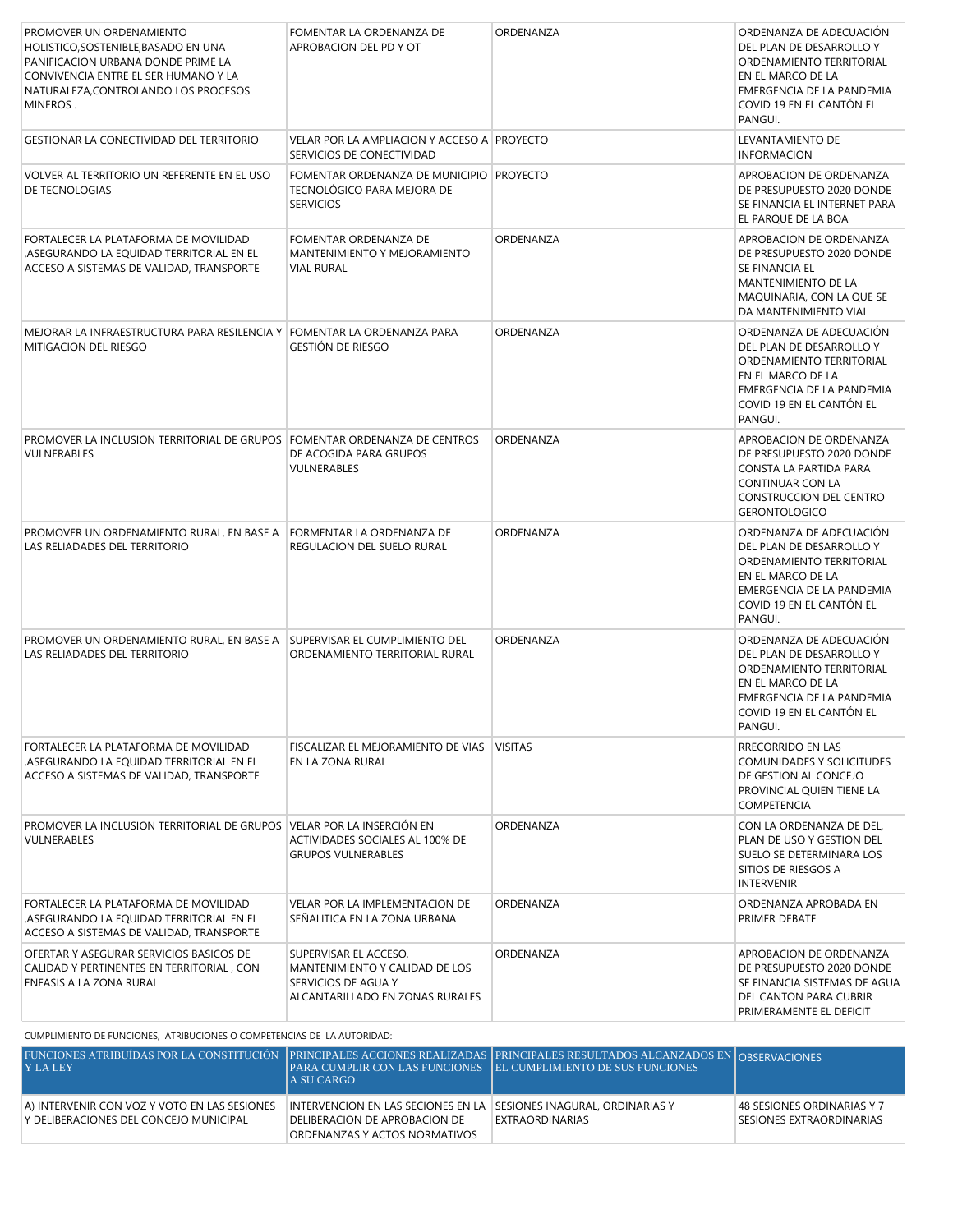| PROMOVER UN ORDENAMIENTO<br>HOLISTICO.SOSTENIBLE.BASADO EN UNA<br>PANIFICACION URBANA DONDE PRIME LA<br>CONVIVENCIA ENTRE EL SER HUMANO Y LA<br>NATURALEZA, CONTROLANDO LOS PROCESOS<br>MINEROS. | FOMENTAR LA ORDENANZA DE<br>APROBACION DEL PD Y OT                                                                | ORDENANZA | ORDENANZA DE ADECUACIÓN<br>DEL PLAN DE DESARROLLO Y<br>ORDENAMIENTO TERRITORIAL<br>EN EL MARCO DE LA<br>EMERGENCIA DE LA PANDEMIA<br>COVID 19 EN EL CANTÓN EL<br>PANGUI. |
|--------------------------------------------------------------------------------------------------------------------------------------------------------------------------------------------------|-------------------------------------------------------------------------------------------------------------------|-----------|--------------------------------------------------------------------------------------------------------------------------------------------------------------------------|
| GESTIONAR LA CONECTIVIDAD DEL TERRITORIO                                                                                                                                                         | VELAR POR LA AMPLIACION Y ACCESO A PROYECTO<br>SERVICIOS DE CONECTIVIDAD                                          |           | LEVANTAMIENTO DE<br><b>INFORMACION</b>                                                                                                                                   |
| VOLVER AL TERRITORIO UN REFERENTE EN EL USO<br>DE TECNOLOGIAS                                                                                                                                    | FOMENTAR ORDENANZA DE MUNICIPIO PROYECTO<br>TECNOLÓGICO PARA MEJORA DE<br><b>SERVICIOS</b>                        |           | APROBACION DE ORDENANZA<br>DE PRESUPUESTO 2020 DONDE<br>SE FINANCIA EL INTERNET PARA<br>EL PARQUE DE LA BOA                                                              |
| FORTALECER LA PLATAFORMA DE MOVILIDAD<br>,ASEGURANDO LA EQUIDAD TERRITORIAL EN EL<br>ACCESO A SISTEMAS DE VALIDAD, TRANSPORTE                                                                    | FOMENTAR ORDENANZA DE<br>MANTENIMIENTO Y MEJORAMIENTO<br><b>VIAL RURAL</b>                                        | ORDENANZA | APROBACION DE ORDENANZA<br>DE PRESUPUESTO 2020 DONDE<br>SE FINANCIA EL<br>MANTENIMIENTO DE LA<br>MAQUINARIA, CON LA QUE SE<br>DA MANTENIMIENTO VIAL                      |
| MEJORAR LA INFRAESTRUCTURA PARA RESILENCIA Y FOMENTAR LA ORDENANZA PARA<br>MITIGACION DEL RIESGO                                                                                                 | GESTIÓN DE RIESGO                                                                                                 | ORDENANZA | ORDENANZA DE ADECUACIÓN<br>DEL PLAN DE DESARROLLO Y<br>ORDENAMIENTO TERRITORIAL<br>EN EL MARCO DE LA<br>EMERGENCIA DE LA PANDEMIA<br>COVID 19 EN EL CANTÓN EL<br>PANGUI. |
| PROMOVER LA INCLUSION TERRITORIAL DE GRUPOS FOMENTAR ORDENANZA DE CENTROS<br>VULNERABLES                                                                                                         | DE ACOGIDA PARA GRUPOS<br>VULNERABLES                                                                             | ORDENANZA | APROBACION DE ORDENANZA<br>DE PRESUPUESTO 2020 DONDE<br>CONSTA LA PARTIDA PARA<br>CONTINUAR CON LA<br>CONSTRUCCION DEL CENTRO<br><b>GERONTOLOGICO</b>                    |
| PROMOVER UN ORDENAMIENTO RURAL, EN BASE A<br>LAS RELIADADES DEL TERRITORIO                                                                                                                       | FORMENTAR LA ORDENANZA DE<br>REGULACION DEL SUELO RURAL                                                           | ORDENANZA | ORDENANZA DE ADECUACIÓN<br>DEL PLAN DE DESARROLLO Y<br>ORDENAMIENTO TERRITORIAL<br>EN EL MARCO DE LA<br>EMERGENCIA DE LA PANDEMIA<br>COVID 19 EN EL CANTÓN EL<br>PANGUI. |
| PROMOVER UN ORDENAMIENTO RURAL, EN BASE A SUPERVISAR EL CUMPLIMIENTO DEL<br>LAS RELIADADES DEL TERRITORIO                                                                                        | ORDENAMIENTO TERRITORIAL RURAL                                                                                    | ORDENANZA | ORDENANZA DE ADECUACIÓN<br>DEL PLAN DE DESARROLLO Y<br>ORDENAMIENTO TERRITORIAL<br>EN EL MARCO DE LA<br>EMERGENCIA DE LA PANDEMIA<br>COVID 19 EN EL CANTÓN EL<br>PANGUI. |
| FORTALECER LA PLATAFORMA DE MOVILIDAD<br>,ASEGURANDO LA EQUIDAD TERRITORIAL EN EL<br>ACCESO A SISTEMAS DE VALIDAD, TRANSPORTE                                                                    | FISCALIZAR EL MEJORAMIENTO DE VIAS VISITAS<br>EN LA ZONA RURAL                                                    |           | RRECORRIDO EN LAS<br>COMUNIDADES Y SOLICITUDES<br>DE GESTION AL CONCEJO<br>PROVINCIAL QUIEN TIENE LA<br><b>COMPETENCIA</b>                                               |
| PROMOVER LA INCLUSION TERRITORIAL DE GRUPOS VELAR POR LA INSERCIÓN EN<br>VULNERABLES                                                                                                             | ACTIVIDADES SOCIALES AL 100% DE<br><b>GRUPOS VULNERABLES</b>                                                      | ORDENANZA | CON LA ORDENANZA DE DEL,<br>PLAN DE USO Y GESTION DEL<br>SUELO SE DETERMINARA LOS<br>SITIOS DE RIESGOS A<br><b>INTERVENIR</b>                                            |
| FORTALECER LA PLATAFORMA DE MOVILIDAD<br>ASEGURANDO LA EQUIDAD TERRITORIAL EN EL<br>ACCESO A SISTEMAS DE VALIDAD, TRANSPORTE                                                                     | VELAR POR LA IMPLEMENTACION DE<br>SEÑALITICA EN LA ZONA URBANA                                                    | ORDENANZA | ORDENANZA APROBADA EN<br>PRIMER DEBATE                                                                                                                                   |
| OFERTAR Y ASEGURAR SERVICIOS BASICOS DE<br>CALIDAD Y PERTINENTES EN TERRITORIAL, CON<br>ENFASIS A LA ZONA RURAL                                                                                  | SUPERVISAR EL ACCESO,<br>MANTENIMIENTO Y CALIDAD DE LOS<br>SERVICIOS DE AGUA Y<br>ALCANTARILLADO EN ZONAS RURALES | ORDENANZA | APROBACION DE ORDENANZA<br>DE PRESUPUESTO 2020 DONDE<br>SE FINANCIA SISTEMAS DE AGUA<br>DEL CANTON PARA CUBRIR<br>PRIMERAMENTE EL DEFICIT                                |

CUMPLIMIENTO DE FUNCIONES, ATRIBUCIONES O COMPETENCIAS DE LA AUTORIDAD:

| FUNCIONES ATRIBUÍDAS POR LA CONSTITUCIÓN PRINCIPALES ACCIONES REALIZADAS PRINCIPALES RESULTADOS ALCANZADOS EN OBSERVACIONES<br>$'$ Y LA LEY | LA SU CARGO-                                                                                                                          | PARA CUMPLIR CON LAS FUNCIONES   EL CUMPLIMIENTO DE SUS FUNCIONES |                                                        |
|---------------------------------------------------------------------------------------------------------------------------------------------|---------------------------------------------------------------------------------------------------------------------------------------|-------------------------------------------------------------------|--------------------------------------------------------|
| A) INTERVENIR CON VOZ Y VOTO EN LAS SESIONES<br>Y DELIBERACIONES DEL CONCEJO MUNICIPAL                                                      | INTERVENCION EN LAS SECIONES EN LA TSESIONES INAGURAL, ORDINARIAS Y<br>DELIBERACION DE APROBACION DE<br>ORDENANZAS Y ACTOS NORMATIVOS | EXTRAORDINARIAS                                                   | 48 SESIONES ORDINARIAS Y 7<br>SESIONES EXTRAORDINARIAS |